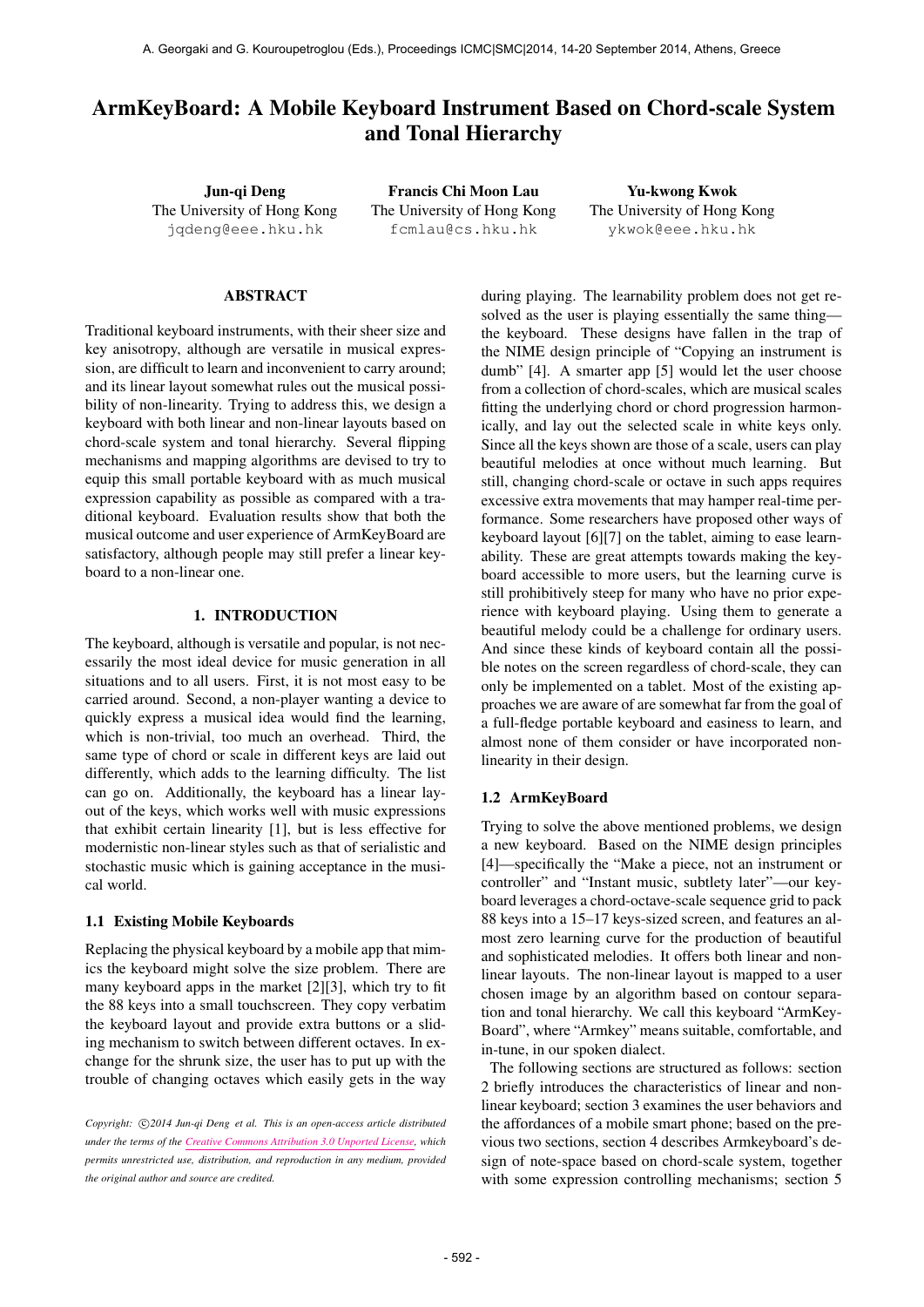# ArmKeyBoard: A Mobile Keyboard Instrument Based on Chord-scale System and Tonal Hierarchy

Jun-qi Deng The University of Hong Kong [jqdeng@eee.hku.hk](mailto:jqdeng@eee.hku.hk)

Francis Chi Moon Lau The University of Hong Kong [fcmlau@cs.hku.hk](mailto:fcmlau@cs.hku.hk)

Yu-kwong Kwok The University of Hong Kong [ykwok@eee.hku.hk](mailto:ykwok@eee.hku.hk)

# ABSTRACT

Traditional keyboard instruments, with their sheer size and key anisotropy, although are versatile in musical expression, are difficult to learn and inconvenient to carry around; and its linear layout somewhat rules out the musical possibility of non-linearity. Trying to address this, we design a keyboard with both linear and non-linear layouts based on chord-scale system and tonal hierarchy. Several flipping mechanisms and mapping algorithms are devised to try to equip this small portable keyboard with as much musical expression capability as possible as compared with a traditional keyboard. Evaluation results show that both the musical outcome and user experience of ArmKeyBoard are satisfactory, although people may still prefer a linear keyboard to a non-linear one.

# 1. INTRODUCTION

The keyboard, although is versatile and popular, is not necessarily the most ideal device for music generation in all situations and to all users. First, it is not most easy to be carried around. Second, a non-player wanting a device to quickly express a musical idea would find the learning, which is non-trivial, too much an overhead. Third, the same type of chord or scale in different keys are laid out differently, which adds to the learning difficulty. The list can go on. Additionally, the keyboard has a linear layout of the keys, which works well with music expressions that exhibit certain linearity [1], but is less effective for modernistic non-linear styles such as that of serialistic and stochastic music which is gaining acceptance in the musical world.

### 1.1 Existing Mobile Keyboards

Replacing the physical keyboard by a mobile app that mimics the keyboard might solve the size problem. There are many keyboard apps in the market [2][3], which try to fit the 88 keys into a small touchscreen. They copy verbatim the keyboard layout and provide extra buttons or a sliding mechanism to switch between different octaves. In exchange for the shrunk size, the user has to put up with the trouble of changing octaves which easily gets in the way during playing. The learnability problem does not get resolved as the user is playing essentially the same thing the keyboard. These designs have fallen in the trap of the NIME design principle of "Copying an instrument is dumb" [4]. A smarter app [5] would let the user choose from a collection of chord-scales, which are musical scales fitting the underlying chord or chord progression harmonically, and lay out the selected scale in white keys only. Since all the keys shown are those of a scale, users can play beautiful melodies at once without much learning. But still, changing chord-scale or octave in such apps requires excessive extra movements that may hamper real-time performance. Some researchers have proposed other ways of keyboard layout [6][7] on the tablet, aiming to ease learnability. These are great attempts towards making the keyboard accessible to more users, but the learning curve is still prohibitively steep for many who have no prior experience with keyboard playing. Using them to generate a beautiful melody could be a challenge for ordinary users. And since these kinds of keyboard contain all the possible notes on the screen regardless of chord-scale, they can only be implemented on a tablet. Most of the existing approaches we are aware of are somewhat far from the goal of a full-fledge portable keyboard and easiness to learn, and almost none of them consider or have incorporated nonlinearity in their design.

### 1.2 ArmKeyBoard

Trying to solve the above mentioned problems, we design a new keyboard. Based on the NIME design principles [4]—specifically the "Make a piece, not an instrument or controller" and "Instant music, subtlety later"—our keyboard leverages a chord-octave-scale sequence grid to pack 88 keys into a 15–17 keys-sized screen, and features an almost zero learning curve for the production of beautiful and sophisticated melodies. It offers both linear and nonlinear layouts. The non-linear layout is mapped to a user chosen image by an algorithm based on contour separation and tonal hierarchy. We call this keyboard "ArmKey-Board", where "Armkey" means suitable, comfortable, and in-tune, in our spoken dialect.

The following sections are structured as follows: section 2 briefly introduces the characteristics of linear and nonlinear keyboard; section 3 examines the user behaviors and the affordances of a mobile smart phone; based on the previous two sections, section 4 describes Armkeyboard's design of note-space based on chord-scale system, together with some expression controlling mechanisms; section 5

Copyright:  $\bigcirc$ 2014 Jun-qi Deng et al. This is an open-access article distributed *under the terms of the [Creative Commons Attribution 3.0 Unported License,](http://creativecommons.org/licenses/by/3.0/) which permits unrestricted use, distribution, and reproduction in any medium, provided the original author and source are credited.*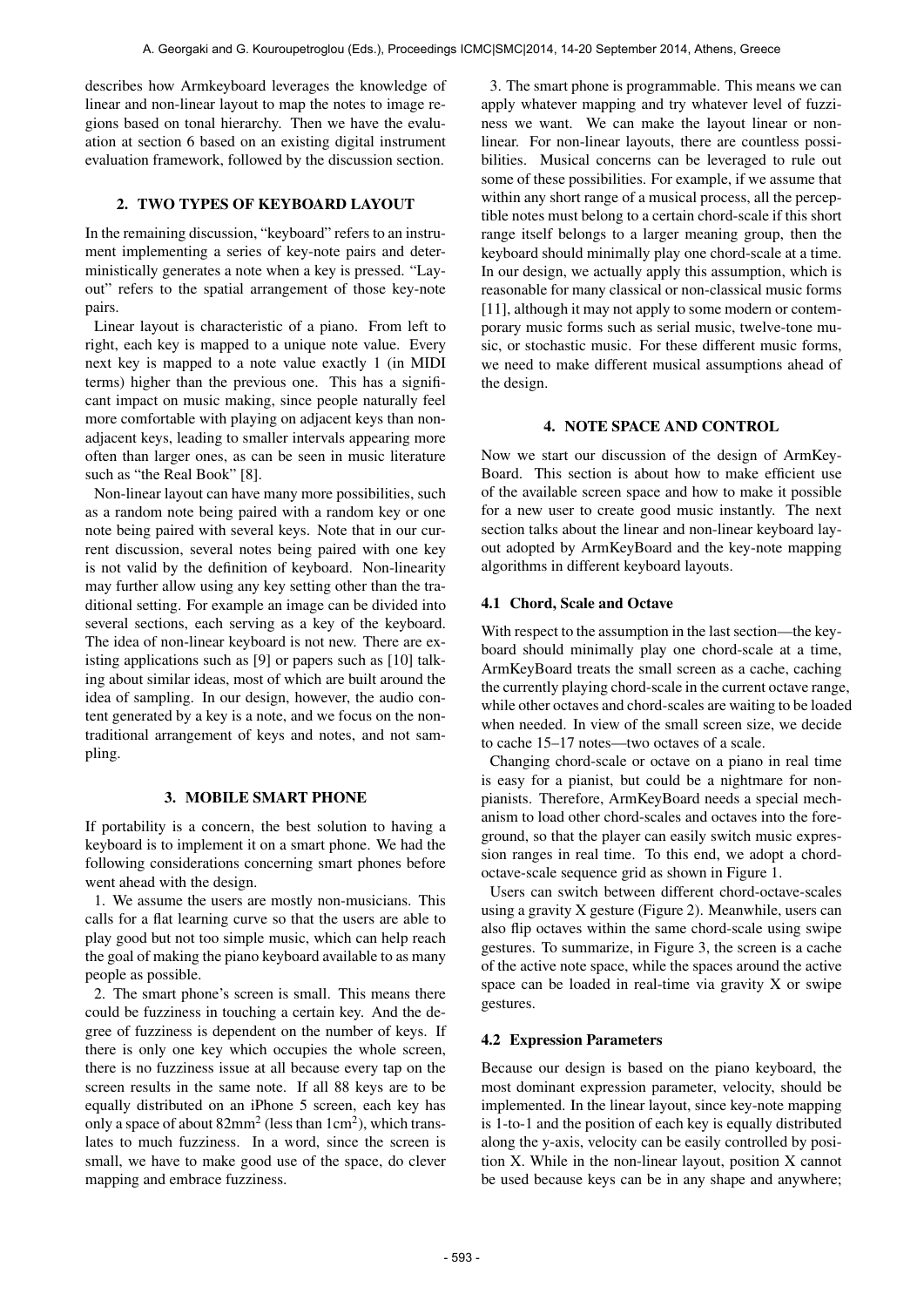describes how Armkeyboard leverages the knowledge of linear and non-linear layout to map the notes to image regions based on tonal hierarchy. Then we have the evaluation at section 6 based on an existing digital instrument evaluation framework, followed by the discussion section.

# 2. TWO TYPES OF KEYBOARD LAYOUT

In the remaining discussion, "keyboard" refers to an instrument implementing a series of key-note pairs and deterministically generates a note when a key is pressed. "Layout" refers to the spatial arrangement of those key-note pairs.

Linear layout is characteristic of a piano. From left to right, each key is mapped to a unique note value. Every next key is mapped to a note value exactly 1 (in MIDI terms) higher than the previous one. This has a significant impact on music making, since people naturally feel more comfortable with playing on adjacent keys than nonadjacent keys, leading to smaller intervals appearing more often than larger ones, as can be seen in music literature such as "the Real Book" [8].

Non-linear layout can have many more possibilities, such as a random note being paired with a random key or one note being paired with several keys. Note that in our current discussion, several notes being paired with one key is not valid by the definition of keyboard. Non-linearity may further allow using any key setting other than the traditional setting. For example an image can be divided into several sections, each serving as a key of the keyboard. The idea of non-linear keyboard is not new. There are existing applications such as [9] or papers such as [10] talking about similar ideas, most of which are built around the idea of sampling. In our design, however, the audio content generated by a key is a note, and we focus on the nontraditional arrangement of keys and notes, and not sampling.

# 3. MOBILE SMART PHONE

If portability is a concern, the best solution to having a keyboard is to implement it on a smart phone. We had the following considerations concerning smart phones before went ahead with the design.

1. We assume the users are mostly non-musicians. This calls for a flat learning curve so that the users are able to play good but not too simple music, which can help reach the goal of making the piano keyboard available to as many people as possible.

2. The smart phone's screen is small. This means there could be fuzziness in touching a certain key. And the degree of fuzziness is dependent on the number of keys. If there is only one key which occupies the whole screen, there is no fuzziness issue at all because every tap on the screen results in the same note. If all 88 keys are to be equally distributed on an iPhone 5 screen, each key has only a space of about  $82mm^2$  (less than  $1cm^2$ ), which translates to much fuzziness. In a word, since the screen is small, we have to make good use of the space, do clever mapping and embrace fuzziness.

3. The smart phone is programmable. This means we can apply whatever mapping and try whatever level of fuzziness we want. We can make the layout linear or nonlinear. For non-linear layouts, there are countless possibilities. Musical concerns can be leveraged to rule out some of these possibilities. For example, if we assume that within any short range of a musical process, all the perceptible notes must belong to a certain chord-scale if this short range itself belongs to a larger meaning group, then the keyboard should minimally play one chord-scale at a time. In our design, we actually apply this assumption, which is reasonable for many classical or non-classical music forms [11], although it may not apply to some modern or contemporary music forms such as serial music, twelve-tone music, or stochastic music. For these different music forms, we need to make different musical assumptions ahead of the design.

### 4. NOTE SPACE AND CONTROL

Now we start our discussion of the design of ArmKey-Board. This section is about how to make efficient use of the available screen space and how to make it possible for a new user to create good music instantly. The next section talks about the linear and non-linear keyboard layout adopted by ArmKeyBoard and the key-note mapping algorithms in different keyboard layouts.

# 4.1 Chord, Scale and Octave

With respect to the assumption in the last section—the keyboard should minimally play one chord-scale at a time, ArmKeyBoard treats the small screen as a cache, caching the currently playing chord-scale in the current octave range, while other octaves and chord-scales are waiting to be loaded when needed. In view of the small screen size, we decide to cache 15–17 notes—two octaves of a scale.

Changing chord-scale or octave on a piano in real time is easy for a pianist, but could be a nightmare for nonpianists. Therefore, ArmKeyBoard needs a special mechanism to load other chord-scales and octaves into the foreground, so that the player can easily switch music expression ranges in real time. To this end, we adopt a chordoctave-scale sequence grid as shown in Figure 1.

Users can switch between different chord-octave-scales using a gravity X gesture (Figure 2). Meanwhile, users can also flip octaves within the same chord-scale using swipe gestures. To summarize, in Figure 3, the screen is a cache of the active note space, while the spaces around the active space can be loaded in real-time via gravity X or swipe gestures.

### 4.2 Expression Parameters

Because our design is based on the piano keyboard, the most dominant expression parameter, velocity, should be implemented. In the linear layout, since key-note mapping is 1-to-1 and the position of each key is equally distributed along the y-axis, velocity can be easily controlled by position X. While in the non-linear layout, position X cannot be used because keys can be in any shape and anywhere;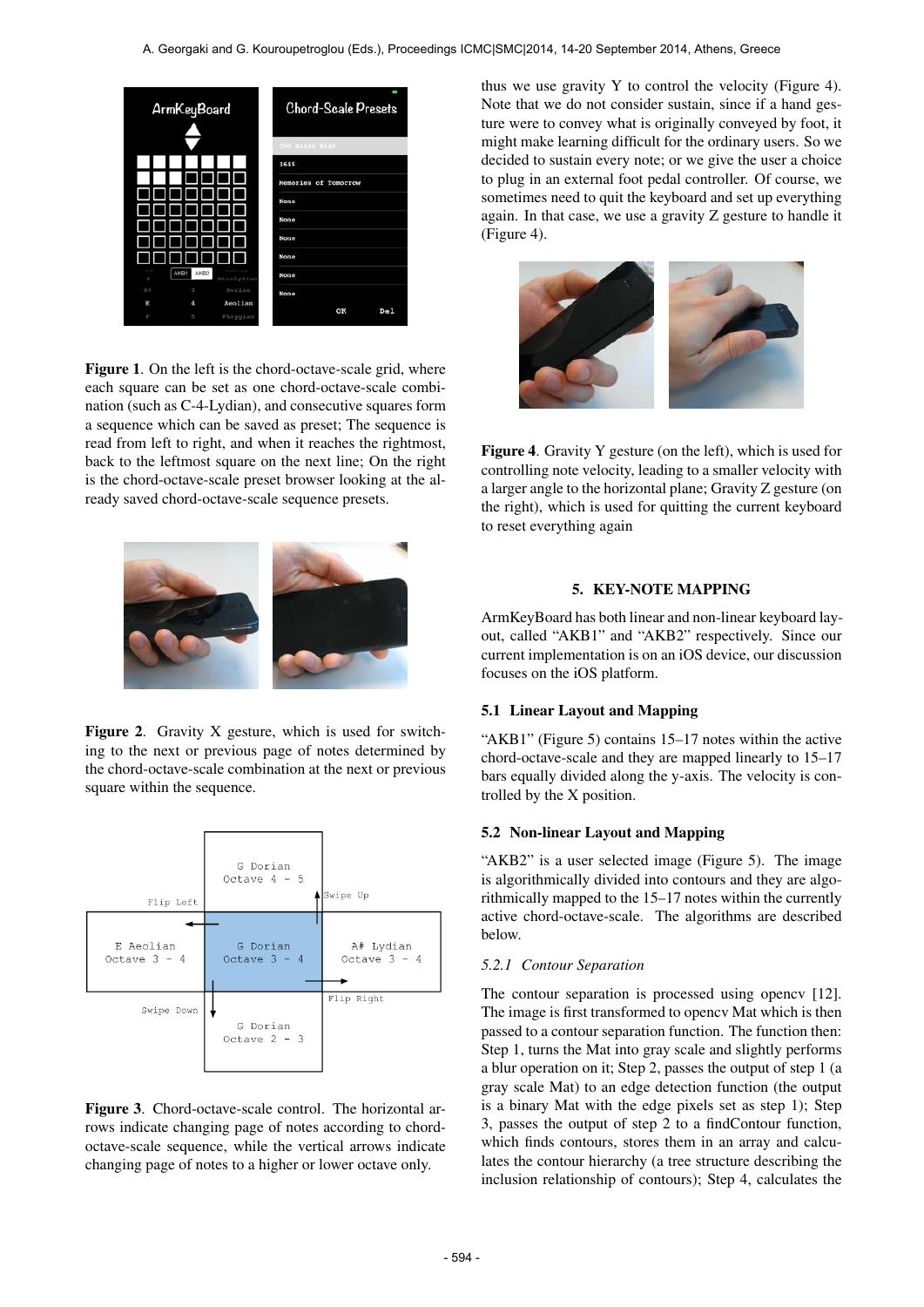

Figure 1. On the left is the chord-octave-scale grid, where each square can be set as one chord-octave-scale combination (such as C-4-Lydian), and consecutive squares form a sequence which can be saved as preset; The sequence is read from left to right, and when it reaches the rightmost, back to the leftmost square on the next line; On the right is the chord-octave-scale preset browser looking at the already saved chord-octave-scale sequence presets.



Figure 2. Gravity X gesture, which is used for switching to the next or previous page of notes determined by the chord-octave-scale combination at the next or previous square within the sequence.



Figure 3. Chord-octave-scale control. The horizontal arrows indicate changing page of notes according to chordoctave-scale sequence, while the vertical arrows indicate changing page of notes to a higher or lower octave only.

thus we use gravity Y to control the velocity (Figure 4). Note that we do not consider sustain, since if a hand gesture were to convey what is originally conveyed by foot, it might make learning difficult for the ordinary users. So we decided to sustain every note; or we give the user a choice to plug in an external foot pedal controller. Of course, we sometimes need to quit the keyboard and set up everything again. In that case, we use a gravity Z gesture to handle it (Figure 4).



Figure 4. Gravity Y gesture (on the left), which is used for controlling note velocity, leading to a smaller velocity with a larger angle to the horizontal plane; Gravity Z gesture (on the right), which is used for quitting the current keyboard to reset everything again

# 5. KEY-NOTE MAPPING

ArmKeyBoard has both linear and non-linear keyboard layout, called "AKB1" and "AKB2" respectively. Since our current implementation is on an iOS device, our discussion focuses on the iOS platform.

# 5.1 Linear Layout and Mapping

"AKB1" (Figure 5) contains 15–17 notes within the active chord-octave-scale and they are mapped linearly to 15–17 bars equally divided along the y-axis. The velocity is controlled by the X position.

#### 5.2 Non-linear Layout and Mapping

"AKB2" is a user selected image (Figure 5). The image is algorithmically divided into contours and they are algorithmically mapped to the 15–17 notes within the currently active chord-octave-scale. The algorithms are described below.

#### *5.2.1 Contour Separation*

The contour separation is processed using opencv [12]. The image is first transformed to opencv Mat which is then passed to a contour separation function. The function then: Step 1, turns the Mat into gray scale and slightly performs a blur operation on it; Step 2, passes the output of step 1 (a gray scale Mat) to an edge detection function (the output is a binary Mat with the edge pixels set as step 1); Step 3, passes the output of step 2 to a findContour function, which finds contours, stores them in an array and calculates the contour hierarchy (a tree structure describing the inclusion relationship of contours); Step 4, calculates the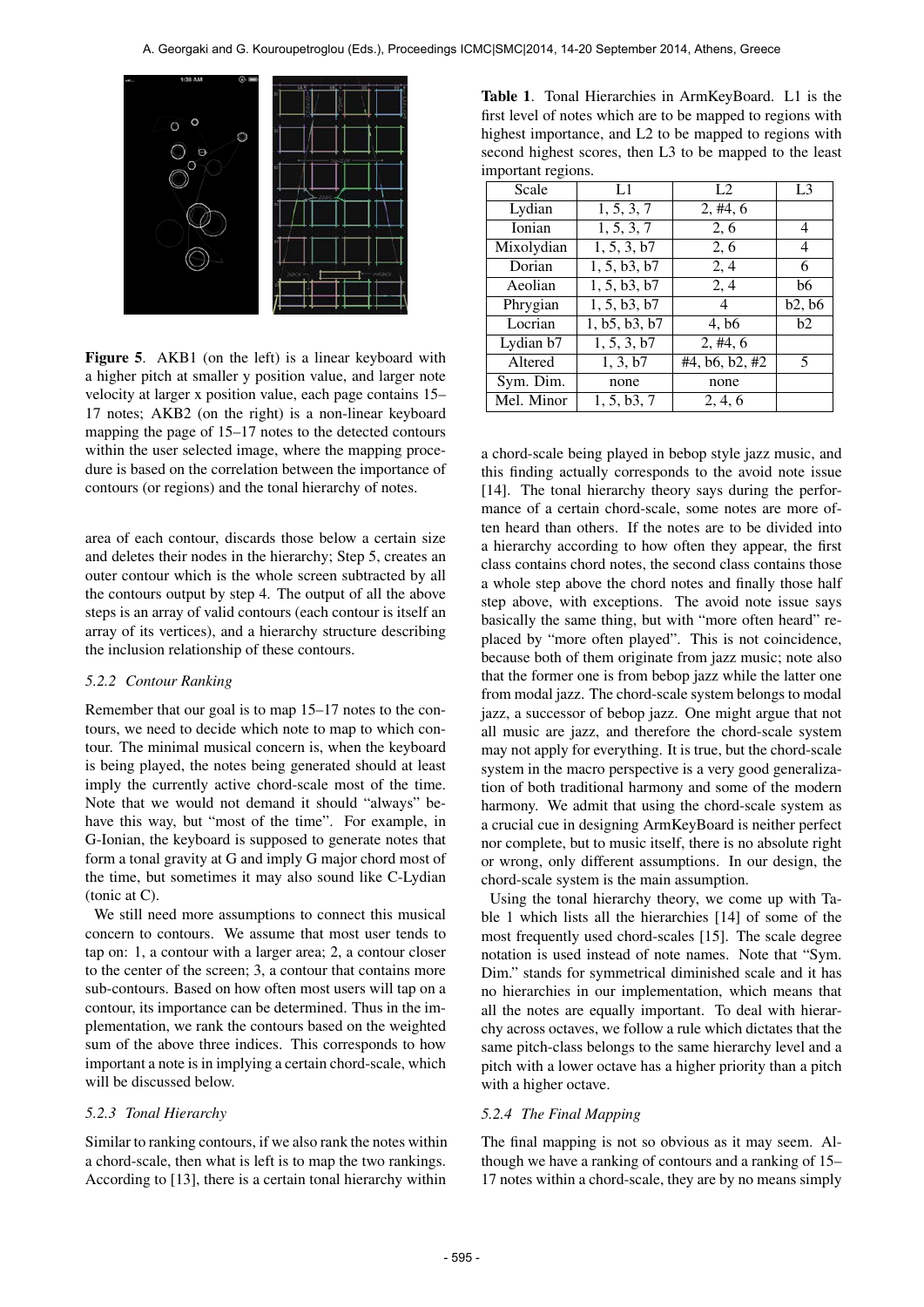

Figure 5. AKB1 (on the left) is a linear keyboard with a higher pitch at smaller y position value, and larger note velocity at larger x position value, each page contains 15– 17 notes; AKB2 (on the right) is a non-linear keyboard mapping the page of 15–17 notes to the detected contours within the user selected image, where the mapping procedure is based on the correlation between the importance of contours (or regions) and the tonal hierarchy of notes.

area of each contour, discards those below a certain size and deletes their nodes in the hierarchy; Step 5, creates an outer contour which is the whole screen subtracted by all the contours output by step 4. The output of all the above steps is an array of valid contours (each contour is itself an array of its vertices), and a hierarchy structure describing the inclusion relationship of these contours.

#### *5.2.2 Contour Ranking*

Remember that our goal is to map 15–17 notes to the contours, we need to decide which note to map to which contour. The minimal musical concern is, when the keyboard is being played, the notes being generated should at least imply the currently active chord-scale most of the time. Note that we would not demand it should "always" behave this way, but "most of the time". For example, in G-Ionian, the keyboard is supposed to generate notes that form a tonal gravity at G and imply G major chord most of the time, but sometimes it may also sound like C-Lydian (tonic at C).

We still need more assumptions to connect this musical concern to contours. We assume that most user tends to tap on: 1, a contour with a larger area; 2, a contour closer to the center of the screen; 3, a contour that contains more sub-contours. Based on how often most users will tap on a contour, its importance can be determined. Thus in the implementation, we rank the contours based on the weighted sum of the above three indices. This corresponds to how important a note is in implying a certain chord-scale, which will be discussed below.

# *5.2.3 Tonal Hierarchy*

Similar to ranking contours, if we also rank the notes within a chord-scale, then what is left is to map the two rankings. According to [13], there is a certain tonal hierarchy within

Table 1. Tonal Hierarchies in ArmKeyBoard. L1 is the first level of notes which are to be mapped to regions with highest importance, and L2 to be mapped to regions with second highest scores, then L3 to be mapped to the least important regions.

| L1            | L2                | L <sub>3</sub> |
|---------------|-------------------|----------------|
| 1, 5, 3, 7    | 2, #4, 6          |                |
| 1, 5, 3, 7    | 2, 6              | 4              |
| 1, 5, 3, b7   | 2, 6              | 4              |
| 1, 5, b3, b7  | 2,4               | 6              |
| 1, 5, b3, b7  | 2,4               | b6             |
| 1, 5, b3, b7  | 4                 | b2, b6         |
| 1, b5, b3, b7 | 4, b <sub>6</sub> | b2             |
| 1, 5, 3, b7   | 2, #4, 6          |                |
| 1, 3, b7      | #4, b6, b2, #2    | 5              |
| none          | none              |                |
| 1, 5, b3, 7   | 2, 4, 6           |                |
|               |                   |                |

a chord-scale being played in bebop style jazz music, and this finding actually corresponds to the avoid note issue [14]. The tonal hierarchy theory says during the performance of a certain chord-scale, some notes are more often heard than others. If the notes are to be divided into a hierarchy according to how often they appear, the first class contains chord notes, the second class contains those a whole step above the chord notes and finally those half step above, with exceptions. The avoid note issue says basically the same thing, but with "more often heard" replaced by "more often played". This is not coincidence, because both of them originate from jazz music; note also that the former one is from bebop jazz while the latter one from modal jazz. The chord-scale system belongs to modal jazz, a successor of bebop jazz. One might argue that not all music are jazz, and therefore the chord-scale system may not apply for everything. It is true, but the chord-scale system in the macro perspective is a very good generalization of both traditional harmony and some of the modern harmony. We admit that using the chord-scale system as a crucial cue in designing ArmKeyBoard is neither perfect nor complete, but to music itself, there is no absolute right or wrong, only different assumptions. In our design, the chord-scale system is the main assumption.

Using the tonal hierarchy theory, we come up with Table 1 which lists all the hierarchies [14] of some of the most frequently used chord-scales [15]. The scale degree notation is used instead of note names. Note that "Sym. Dim." stands for symmetrical diminished scale and it has no hierarchies in our implementation, which means that all the notes are equally important. To deal with hierarchy across octaves, we follow a rule which dictates that the same pitch-class belongs to the same hierarchy level and a pitch with a lower octave has a higher priority than a pitch with a higher octave.

# *5.2.4 The Final Mapping*

The final mapping is not so obvious as it may seem. Although we have a ranking of contours and a ranking of 15– 17 notes within a chord-scale, they are by no means simply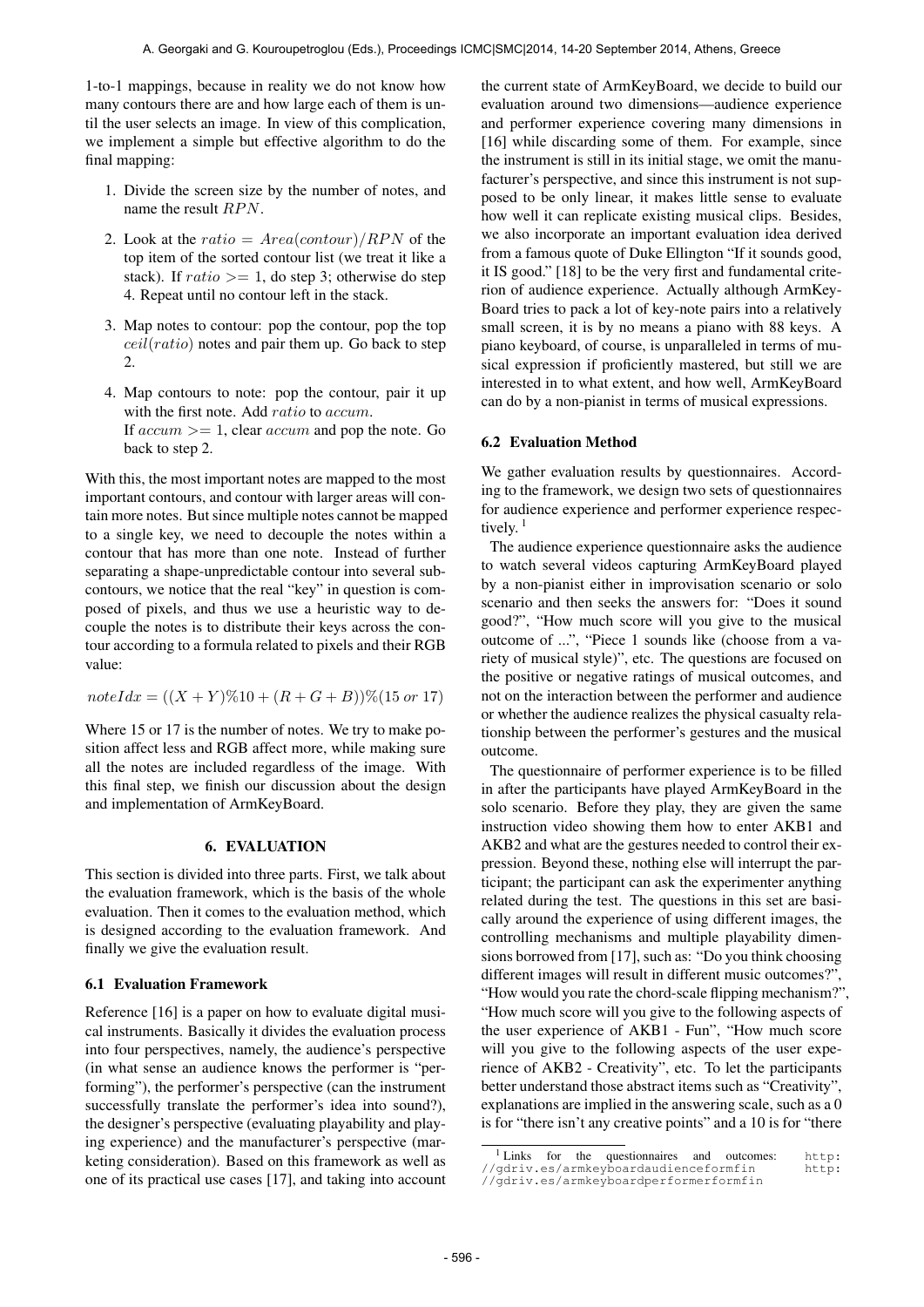1-to-1 mappings, because in reality we do not know how many contours there are and how large each of them is until the user selects an image. In view of this complication, we implement a simple but effective algorithm to do the final mapping:

- 1. Divide the screen size by the number of notes, and name the result  $RPN$ .
- 2. Look at the ratio =  $Area(constour)/RPN$  of the top item of the sorted contour list (we treat it like a stack). If  $ratio \geq 1$ , do step 3; otherwise do step 4. Repeat until no contour left in the stack.
- 3. Map notes to contour: pop the contour, pop the top  $ceil(ratio)$  notes and pair them up. Go back to step  $\mathcal{L}$
- 4. Map contours to note: pop the contour, pair it up with the first note. Add *ratio* to *accum*. If  $accum \geq 1$ , clear  $accum$  and pop the note. Go back to step 2.

With this, the most important notes are mapped to the most important contours, and contour with larger areas will contain more notes. But since multiple notes cannot be mapped to a single key, we need to decouple the notes within a contour that has more than one note. Instead of further separating a shape-unpredictable contour into several subcontours, we notice that the real "key" in question is composed of pixels, and thus we use a heuristic way to decouple the notes is to distribute their keys across the contour according to a formula related to pixels and their RGB value:

$$
noteIdx = ((X + Y)\%10 + (R + G + B))\%(15 \text{ or } 17)
$$

Where 15 or 17 is the number of notes. We try to make position affect less and RGB affect more, while making sure all the notes are included regardless of the image. With this final step, we finish our discussion about the design and implementation of ArmKeyBoard.

### 6. EVALUATION

This section is divided into three parts. First, we talk about the evaluation framework, which is the basis of the whole evaluation. Then it comes to the evaluation method, which is designed according to the evaluation framework. And finally we give the evaluation result.

### 6.1 Evaluation Framework

Reference [16] is a paper on how to evaluate digital musical instruments. Basically it divides the evaluation process into four perspectives, namely, the audience's perspective (in what sense an audience knows the performer is "performing"), the performer's perspective (can the instrument successfully translate the performer's idea into sound?), the designer's perspective (evaluating playability and playing experience) and the manufacturer's perspective (marketing consideration). Based on this framework as well as one of its practical use cases [17], and taking into account

the current state of ArmKeyBoard, we decide to build our evaluation around two dimensions—audience experience and performer experience covering many dimensions in [16] while discarding some of them. For example, since the instrument is still in its initial stage, we omit the manufacturer's perspective, and since this instrument is not supposed to be only linear, it makes little sense to evaluate how well it can replicate existing musical clips. Besides, we also incorporate an important evaluation idea derived from a famous quote of Duke Ellington "If it sounds good, it IS good." [18] to be the very first and fundamental criterion of audience experience. Actually although ArmKey-Board tries to pack a lot of key-note pairs into a relatively small screen, it is by no means a piano with 88 keys. A piano keyboard, of course, is unparalleled in terms of musical expression if proficiently mastered, but still we are interested in to what extent, and how well, ArmKeyBoard can do by a non-pianist in terms of musical expressions.

# 6.2 Evaluation Method

We gather evaluation results by questionnaires. According to the framework, we design two sets of questionnaires for audience experience and performer experience respectively.<sup>1</sup>

The audience experience questionnaire asks the audience to watch several videos capturing ArmKeyBoard played by a non-pianist either in improvisation scenario or solo scenario and then seeks the answers for: "Does it sound good?", "How much score will you give to the musical outcome of ...", "Piece 1 sounds like (choose from a variety of musical style)", etc. The questions are focused on the positive or negative ratings of musical outcomes, and not on the interaction between the performer and audience or whether the audience realizes the physical casualty relationship between the performer's gestures and the musical outcome.

The questionnaire of performer experience is to be filled in after the participants have played ArmKeyBoard in the solo scenario. Before they play, they are given the same instruction video showing them how to enter AKB1 and AKB2 and what are the gestures needed to control their expression. Beyond these, nothing else will interrupt the participant; the participant can ask the experimenter anything related during the test. The questions in this set are basically around the experience of using different images, the controlling mechanisms and multiple playability dimensions borrowed from [17], such as: "Do you think choosing different images will result in different music outcomes?", "How would you rate the chord-scale flipping mechanism?", "How much score will you give to the following aspects of the user experience of AKB1 - Fun", "How much score will you give to the following aspects of the user experience of AKB2 - Creativity", etc. To let the participants better understand those abstract items such as "Creativity", explanations are implied in the answering scale, such as a 0 is for "there isn't any creative points" and a 10 is for "there

<sup>1</sup> Links for the questionnaires and outcomes: [http:](http://gdriv.es/armkeyboardaudienceformfin) [//gdriv.es/armkeyboardaudienceformfin](http://gdriv.es/armkeyboardaudienceformfin) [http:](http://gdriv.es/armkeyboardperformerformfin) [//gdriv.es/armkeyboardperformerformfin](http://gdriv.es/armkeyboardperformerformfin)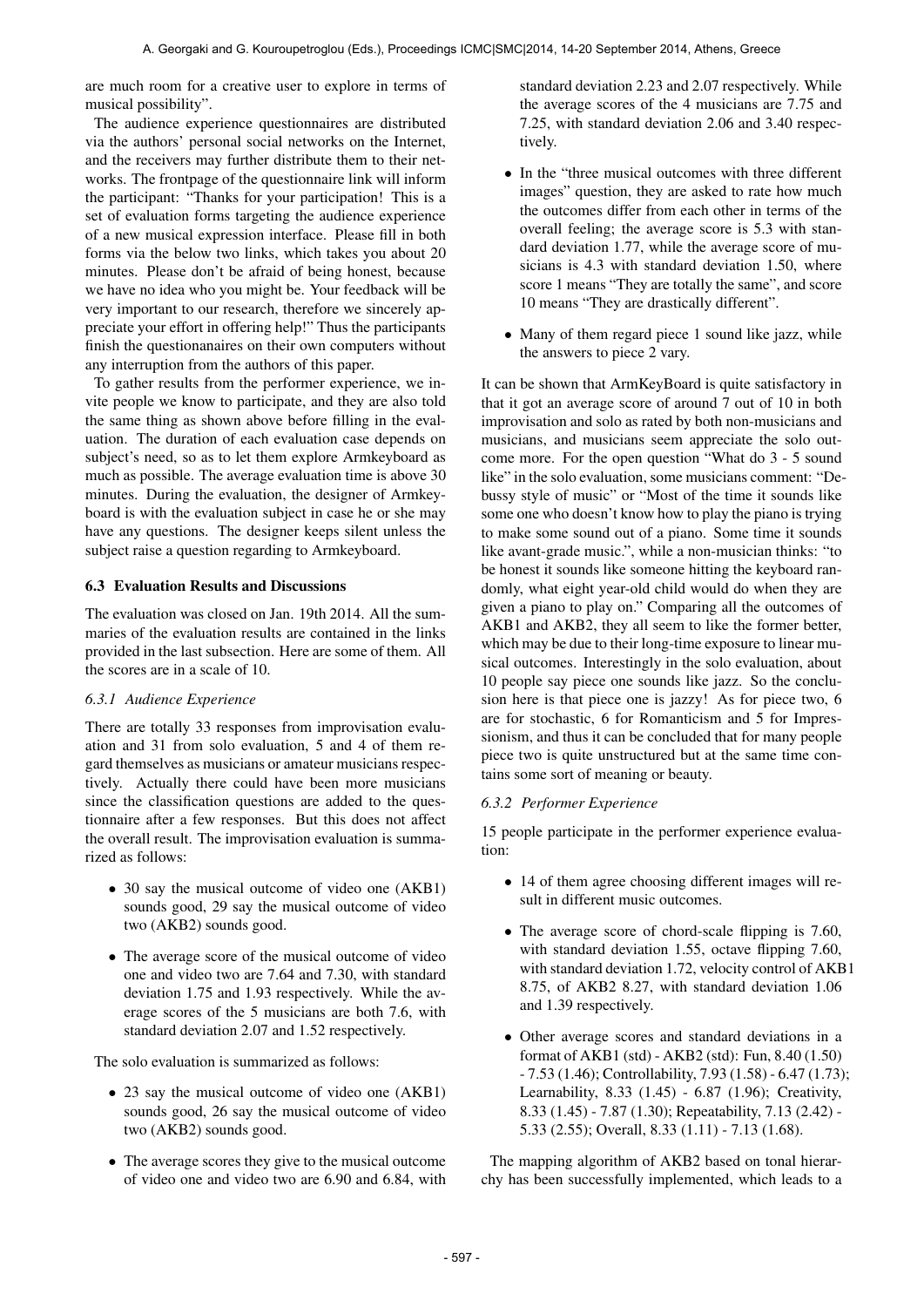are much room for a creative user to explore in terms of musical possibility".

The audience experience questionnaires are distributed via the authors' personal social networks on the Internet, and the receivers may further distribute them to their networks. The frontpage of the questionnaire link will inform the participant: "Thanks for your participation! This is a set of evaluation forms targeting the audience experience of a new musical expression interface. Please fill in both forms via the below two links, which takes you about 20 minutes. Please don't be afraid of being honest, because we have no idea who you might be. Your feedback will be very important to our research, therefore we sincerely appreciate your effort in offering help!" Thus the participants finish the questionanaires on their own computers without any interruption from the authors of this paper.

To gather results from the performer experience, we invite people we know to participate, and they are also told the same thing as shown above before filling in the evaluation. The duration of each evaluation case depends on subject's need, so as to let them explore Armkeyboard as much as possible. The average evaluation time is above 30 minutes. During the evaluation, the designer of Armkeyboard is with the evaluation subject in case he or she may have any questions. The designer keeps silent unless the subject raise a question regarding to Armkeyboard.

# 6.3 Evaluation Results and Discussions

The evaluation was closed on Jan. 19th 2014. All the summaries of the evaluation results are contained in the links provided in the last subsection. Here are some of them. All the scores are in a scale of 10.

# *6.3.1 Audience Experience*

There are totally 33 responses from improvisation evaluation and 31 from solo evaluation, 5 and 4 of them regard themselves as musicians or amateur musicians respectively. Actually there could have been more musicians since the classification questions are added to the questionnaire after a few responses. But this does not affect the overall result. The improvisation evaluation is summarized as follows:

- 30 say the musical outcome of video one (AKB1) sounds good, 29 say the musical outcome of video two (AKB2) sounds good.
- The average score of the musical outcome of video one and video two are 7.64 and 7.30, with standard deviation 1.75 and 1.93 respectively. While the average scores of the 5 musicians are both 7.6, with standard deviation 2.07 and 1.52 respectively.

The solo evaluation is summarized as follows:

- 23 say the musical outcome of video one (AKB1) sounds good, 26 say the musical outcome of video two (AKB2) sounds good.
- The average scores they give to the musical outcome of video one and video two are 6.90 and 6.84, with

standard deviation 2.23 and 2.07 respectively. While the average scores of the 4 musicians are 7.75 and 7.25, with standard deviation 2.06 and 3.40 respectively.

- In the "three musical outcomes with three different images" question, they are asked to rate how much the outcomes differ from each other in terms of the overall feeling; the average score is 5.3 with standard deviation 1.77, while the average score of musicians is 4.3 with standard deviation 1.50, where score 1 means "They are totally the same", and score 10 means "They are drastically different".
- Many of them regard piece 1 sound like jazz, while the answers to piece 2 vary.

It can be shown that ArmKeyBoard is quite satisfactory in that it got an average score of around 7 out of 10 in both improvisation and solo as rated by both non-musicians and musicians, and musicians seem appreciate the solo outcome more. For the open question "What do 3 - 5 sound like" in the solo evaluation, some musicians comment: "Debussy style of music" or "Most of the time it sounds like some one who doesn't know how to play the piano is trying to make some sound out of a piano. Some time it sounds like avant-grade music.", while a non-musician thinks: "to be honest it sounds like someone hitting the keyboard randomly, what eight year-old child would do when they are given a piano to play on." Comparing all the outcomes of AKB1 and AKB2, they all seem to like the former better, which may be due to their long-time exposure to linear musical outcomes. Interestingly in the solo evaluation, about 10 people say piece one sounds like jazz. So the conclusion here is that piece one is jazzy! As for piece two, 6 are for stochastic, 6 for Romanticism and 5 for Impressionism, and thus it can be concluded that for many people piece two is quite unstructured but at the same time contains some sort of meaning or beauty.

### *6.3.2 Performer Experience*

15 people participate in the performer experience evaluation:

- 14 of them agree choosing different images will result in different music outcomes.
- The average score of chord-scale flipping is 7.60, with standard deviation 1.55, octave flipping 7.60, with standard deviation 1.72, velocity control of AKB1 8.75, of AKB2 8.27, with standard deviation 1.06 and 1.39 respectively.
- Other average scores and standard deviations in a format of AKB1 (std) - AKB2 (std): Fun, 8.40 (1.50) - 7.53 (1.46); Controllability, 7.93 (1.58) - 6.47 (1.73); Learnability, 8.33 (1.45) - 6.87 (1.96); Creativity, 8.33 (1.45) - 7.87 (1.30); Repeatability, 7.13 (2.42) - 5.33 (2.55); Overall, 8.33 (1.11) - 7.13 (1.68).

The mapping algorithm of AKB2 based on tonal hierarchy has been successfully implemented, which leads to a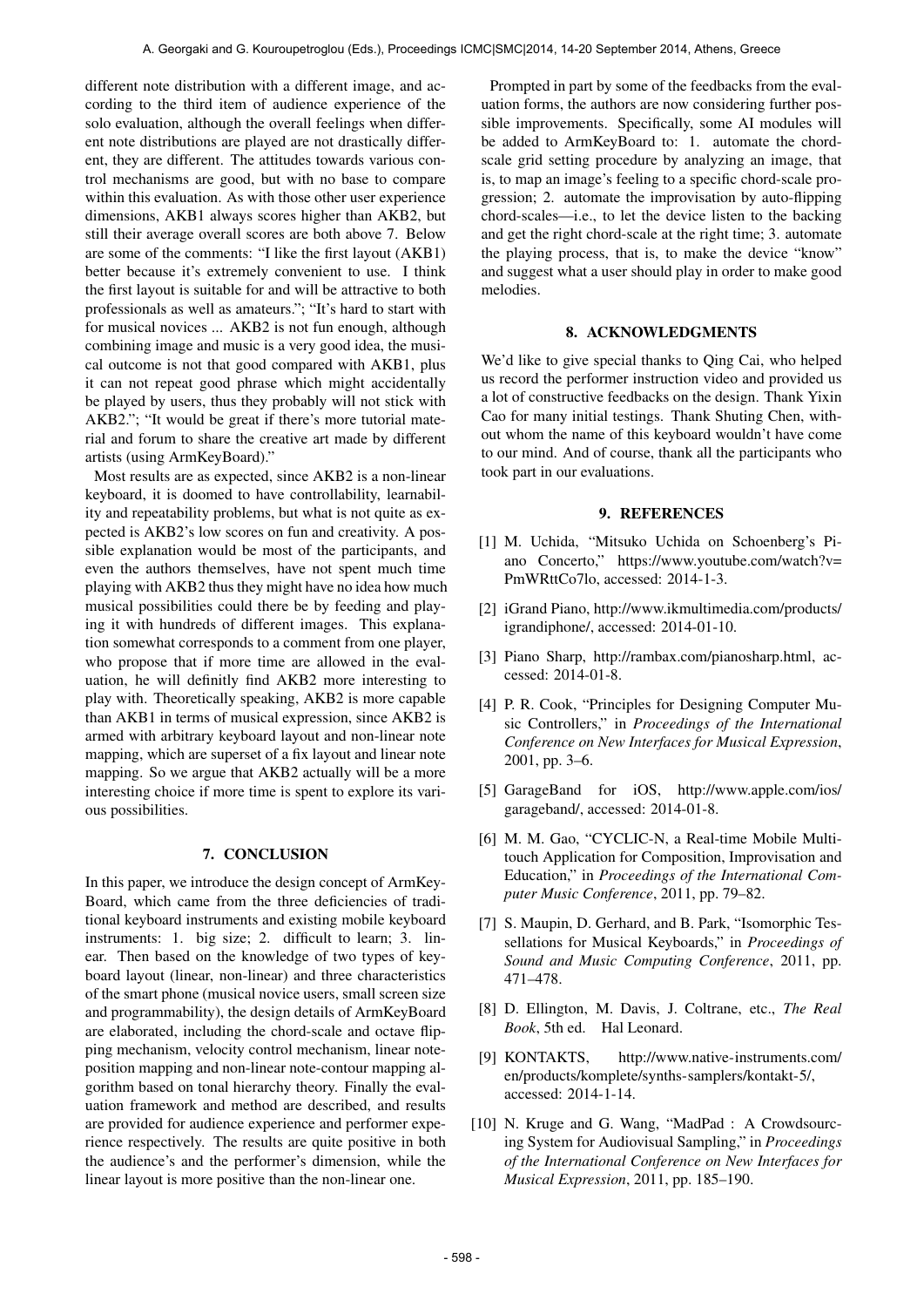different note distribution with a different image, and according to the third item of audience experience of the solo evaluation, although the overall feelings when different note distributions are played are not drastically different, they are different. The attitudes towards various control mechanisms are good, but with no base to compare within this evaluation. As with those other user experience dimensions, AKB1 always scores higher than AKB2, but still their average overall scores are both above 7. Below are some of the comments: "I like the first layout (AKB1) better because it's extremely convenient to use. I think the first layout is suitable for and will be attractive to both professionals as well as amateurs."; "It's hard to start with for musical novices ... AKB2 is not fun enough, although combining image and music is a very good idea, the musical outcome is not that good compared with AKB1, plus it can not repeat good phrase which might accidentally be played by users, thus they probably will not stick with AKB2."; "It would be great if there's more tutorial material and forum to share the creative art made by different artists (using ArmKeyBoard)."

Most results are as expected, since AKB2 is a non-linear keyboard, it is doomed to have controllability, learnability and repeatability problems, but what is not quite as expected is AKB2's low scores on fun and creativity. A possible explanation would be most of the participants, and even the authors themselves, have not spent much time playing with AKB2 thus they might have no idea how much musical possibilities could there be by feeding and playing it with hundreds of different images. This explanation somewhat corresponds to a comment from one player, who propose that if more time are allowed in the evaluation, he will definitly find AKB2 more interesting to play with. Theoretically speaking, AKB2 is more capable than AKB1 in terms of musical expression, since AKB2 is armed with arbitrary keyboard layout and non-linear note mapping, which are superset of a fix layout and linear note mapping. So we argue that AKB2 actually will be a more interesting choice if more time is spent to explore its various possibilities.

#### 7. CONCLUSION

In this paper, we introduce the design concept of ArmKey-Board, which came from the three deficiencies of traditional keyboard instruments and existing mobile keyboard instruments: 1. big size; 2. difficult to learn; 3. linear. Then based on the knowledge of two types of keyboard layout (linear, non-linear) and three characteristics of the smart phone (musical novice users, small screen size and programmability), the design details of ArmKeyBoard are elaborated, including the chord-scale and octave flipping mechanism, velocity control mechanism, linear noteposition mapping and non-linear note-contour mapping algorithm based on tonal hierarchy theory. Finally the evaluation framework and method are described, and results are provided for audience experience and performer experience respectively. The results are quite positive in both the audience's and the performer's dimension, while the linear layout is more positive than the non-linear one.

Prompted in part by some of the feedbacks from the evaluation forms, the authors are now considering further possible improvements. Specifically, some AI modules will be added to ArmKeyBoard to: 1. automate the chordscale grid setting procedure by analyzing an image, that is, to map an image's feeling to a specific chord-scale progression; 2. automate the improvisation by auto-flipping chord-scales—i.e., to let the device listen to the backing and get the right chord-scale at the right time; 3. automate the playing process, that is, to make the device "know" and suggest what a user should play in order to make good melodies.

# 8. ACKNOWLEDGMENTS

We'd like to give special thanks to Qing Cai, who helped us record the performer instruction video and provided us a lot of constructive feedbacks on the design. Thank Yixin Cao for many initial testings. Thank Shuting Chen, without whom the name of this keyboard wouldn't have come to our mind. And of course, thank all the participants who took part in our evaluations.

#### 9. REFERENCES

- [1] M. Uchida, "Mitsuko Uchida on Schoenberg's Piano Concerto," [https://www.youtube.com/watch?v=](https://www.youtube.com/watch?v=PmWRttCo7lo) [PmWRttCo7lo,](https://www.youtube.com/watch?v=PmWRttCo7lo) accessed: 2014-1-3.
- [2] iGrand Piano, [http://www.ikmultimedia.com/products/](http://www.ikmultimedia.com/products/igrandiphone/) [igrandiphone/,](http://www.ikmultimedia.com/products/igrandiphone/) accessed: 2014-01-10.
- [3] Piano Sharp, [http://rambax.com/pianosharp.html,](http://rambax.com/pianosharp.html) accessed: 2014-01-8.
- [4] P. R. Cook, "Principles for Designing Computer Music Controllers," in *Proceedings of the International Conference on New Interfaces for Musical Expression*, 2001, pp. 3–6.
- [5] GarageBand for iOS, [http://www.apple.com/ios/](http://www.apple.com/ios/garageband/) [garageband/,](http://www.apple.com/ios/garageband/) accessed: 2014-01-8.
- [6] M. M. Gao, "CYCLIC-N, a Real-time Mobile Multitouch Application for Composition, Improvisation and Education," in *Proceedings of the International Computer Music Conference*, 2011, pp. 79–82.
- [7] S. Maupin, D. Gerhard, and B. Park, "Isomorphic Tessellations for Musical Keyboards," in *Proceedings of Sound and Music Computing Conference*, 2011, pp. 471–478.
- [8] D. Ellington, M. Davis, J. Coltrane, etc., *The Real Book*, 5th ed. Hal Leonard.
- [9] KONTAKTS, [http://www.native-instruments.com/](http://www.native-instruments.com/en/products/komplete/synths-samplers/kontakt-5/) [en/products/komplete/synths-samplers/kontakt-5/,](http://www.native-instruments.com/en/products/komplete/synths-samplers/kontakt-5/) accessed: 2014-1-14.
- [10] N. Kruge and G. Wang, "MadPad : A Crowdsourcing System for Audiovisual Sampling," in *Proceedings of the International Conference on New Interfaces for Musical Expression*, 2011, pp. 185–190.